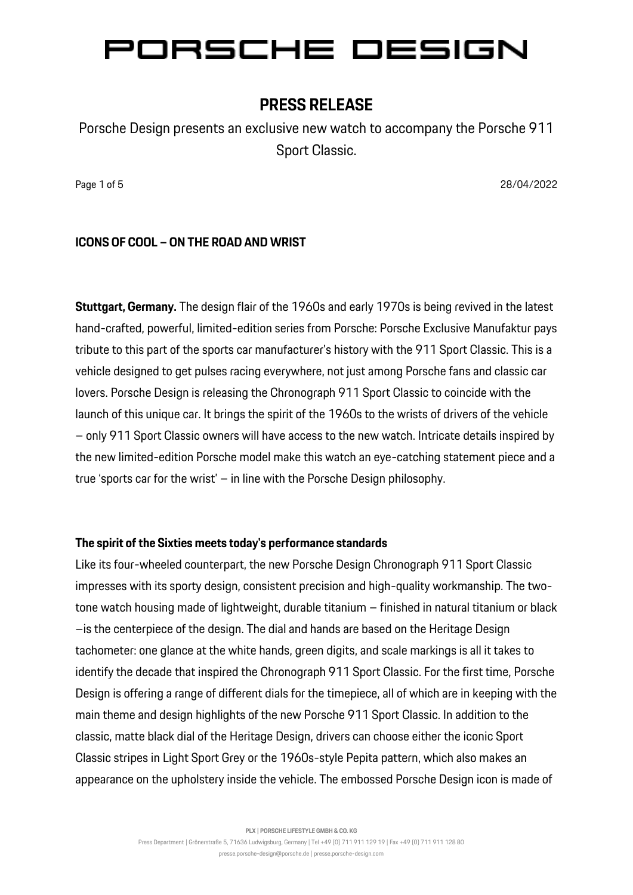### **PRESS RELEASE**

Porsche Design presents an exclusive new watch to accompany the Porsche 911 Sport Classic.

Page 1 of 5 28/04/2022 **Page 1 of 5 28/04/2022** 

#### **ICONS OF COOL – ON THE ROAD AND WRIST**

**Stuttgart, Germany.** The design flair of the 1960s and early 1970s is being revived in the latest hand-crafted, powerful, limited-edition series from Porsche: Porsche Exclusive Manufaktur pays tribute to this part of the sports car manufacturer's history with the 911 Sport Classic. This is a vehicle designed to get pulses racing everywhere, not just among Porsche fans and classic car lovers. Porsche Design is releasing the Chronograph 911 Sport Classic to coincide with the launch of this unique car. It brings the spirit of the 1960s to the wrists of drivers of the vehicle – only 911 Sport Classic owners will have access to the new watch. Intricate details inspired by the new limited-edition Porsche model make this watch an eye-catching statement piece and a true 'sports car for the wrist' – in line with the Porsche Design philosophy.

#### **The spirit of the Sixties meets today's performance standards**

Like its four-wheeled counterpart, the new Porsche Design Chronograph 911 Sport Classic impresses with its sporty design, consistent precision and high-quality workmanship. The twotone watch housing made of lightweight, durable titanium – finished in natural titanium or black –is the centerpiece of the design. The dial and hands are based on the Heritage Design tachometer: one glance at the white hands, green digits, and scale markings is all it takes to identify the decade that inspired the Chronograph 911 Sport Classic. For the first time, Porsche Design is offering a range of different dials for the timepiece, all of which are in keeping with the main theme and design highlights of the new Porsche 911 Sport Classic. In addition to the classic, matte black dial of the Heritage Design, drivers can choose either the iconic Sport Classic stripes in Light Sport Grey or the 1960s-style Pepita pattern, which also makes an appearance on the upholstery inside the vehicle. The embossed Porsche Design icon is made of

**PLX | PORSCHE LIFESTYLE GMBH & CO. KG**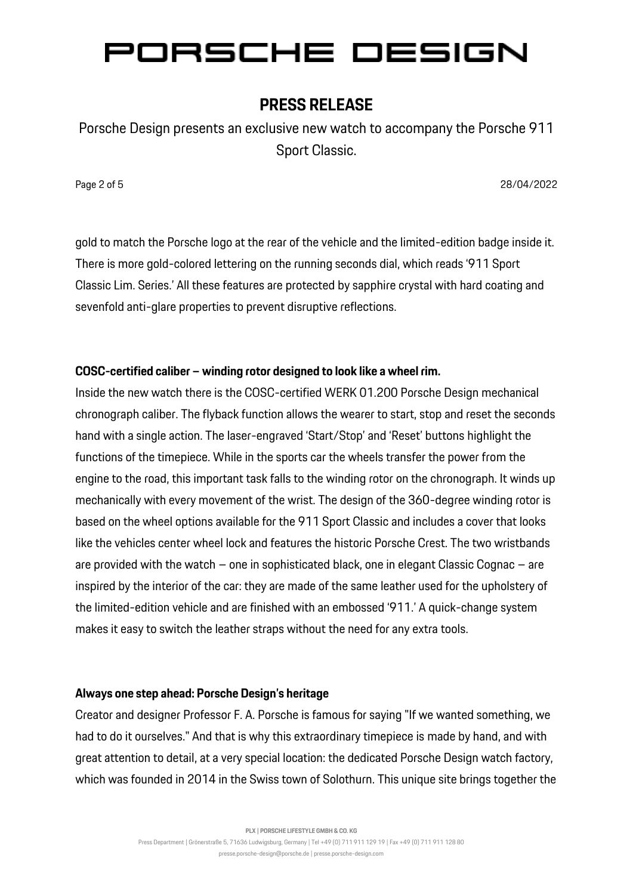## **PRESS RELEASE**

Porsche Design presents an exclusive new watch to accompany the Porsche 911 Sport Classic.

Page 2 of 5 28/04/2022 **Page 2 of 5 28/04/2022** 

gold to match the Porsche logo at the rear of the vehicle and the limited-edition badge inside it. There is more gold-colored lettering on the running seconds dial, which reads '911 Sport Classic Lim. Series.' All these features are protected by sapphire crystal with hard coating and sevenfold anti-glare properties to prevent disruptive reflections.

### **COSC-certified caliber – winding rotor designed to look like a wheel rim.**

Inside the new watch there is the COSC-certified WERK 01.200 Porsche Design mechanical chronograph caliber. The flyback function allows the wearer to start, stop and reset the seconds hand with a single action. The laser-engraved 'Start/Stop' and 'Reset' buttons highlight the functions of the timepiece. While in the sports car the wheels transfer the power from the engine to the road, this important task falls to the winding rotor on the chronograph. It winds up mechanically with every movement of the wrist. The design of the 360-degree winding rotor is based on the wheel options available for the 911 Sport Classic and includes a cover that looks like the vehicles center wheel lock and features the historic Porsche Crest. The two wristbands are provided with the watch – one in sophisticated black, one in elegant Classic Cognac – are inspired by the interior of the car: they are made of the same leather used for the upholstery of the limited-edition vehicle and are finished with an embossed '911.' A quick-change system makes it easy to switch the leather straps without the need for any extra tools.

### **Always one step ahead: Porsche Design's heritage**

Creator and designer Professor F. A. Porsche is famous for saying "If we wanted something, we had to do it ourselves." And that is why this extraordinary timepiece is made by hand, and with great attention to detail, at a very special location: the dedicated Porsche Design watch factory, which was founded in 2014 in the Swiss town of Solothurn. This unique site brings together the

**PLX | PORSCHE LIFESTYLE GMBH & CO. KG**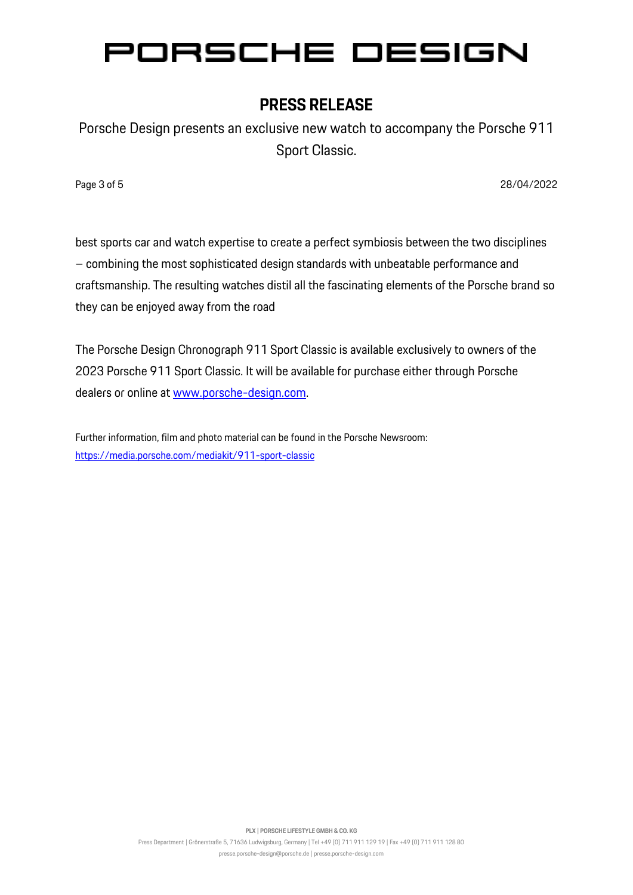# **PRESS RELEASE**

Porsche Design presents an exclusive new watch to accompany the Porsche 911 Sport Classic.

Page 3 of 5 28/04/2022 **Page 3 of 5** 28/04/2022 **Page 3 of 5** 28/04/2022 **Page 3 of 5** 

best sports car and watch expertise to create a perfect symbiosis between the two disciplines – combining the most sophisticated design standards with unbeatable performance and craftsmanship. The resulting watches distil all the fascinating elements of the Porsche brand so they can be enjoyed away from the road

The Porsche Design Chronograph 911 Sport Classic is available exclusively to owners of the 2023 Porsche 911 Sport Classic. It will be available for purchase either through Porsche dealers or online at [www.porsche-design.com.](http://www.porsche-design.com/)

Further information, film and photo material can be found in the Porsche Newsroom: <https://media.porsche.com/mediakit/911-sport-classic>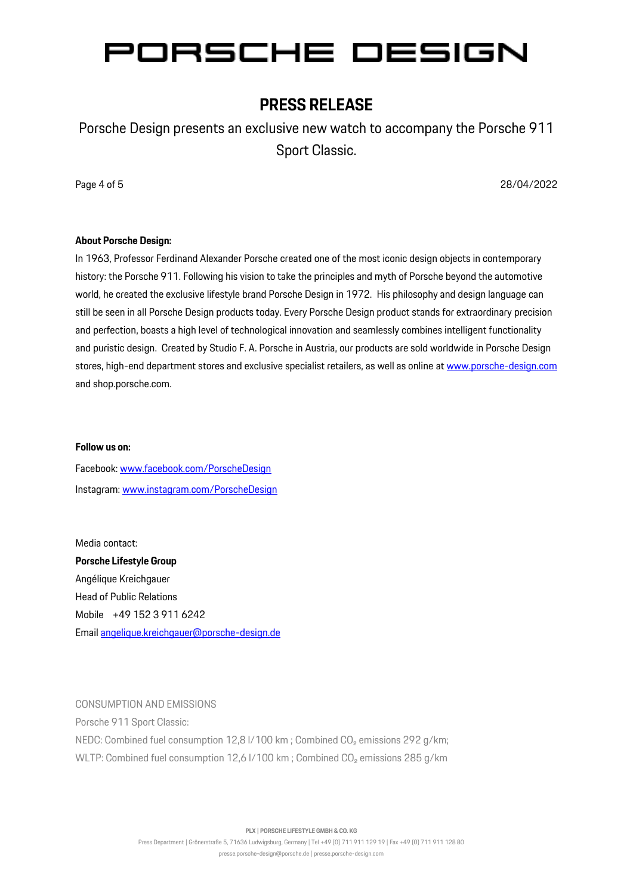### **PRESS RELEASE**

Porsche Design presents an exclusive new watch to accompany the Porsche 911 Sport Classic.

Page 4 of 5 28/04/2022 **Page 4 of 5** 28/04/2022 **Page 4 of 5** 28/04/2022 **Page 4 of 5** 

#### **About Porsche Design:**

In 1963, Professor Ferdinand Alexander Porsche created one of the most iconic design objects in contemporary history: the Porsche 911. Following his vision to take the principles and myth of Porsche beyond the automotive world, he created the exclusive lifestyle brand Porsche Design in 1972. His philosophy and design language can still be seen in all Porsche Design products today. Every Porsche Design product stands for extraordinary precision and perfection, boasts a high level of technological innovation and seamlessly combines intelligent functionality and puristic design. Created by Studio F. A. Porsche in Austria, our products are sold worldwide in Porsche Design stores, high-end department stores and exclusive specialist retailers, as well as online a[t www.porsche-design.com](http://www.porsche-design.com/) and shop.porsche.com.

#### **Follow us on:**

Facebook: [www.facebook.com/PorscheDesign](http://www.facebook.com/PorscheDesign) Instagram[: www.instagram.com/PorscheDesign](http://www.instagram.com/PorscheDesign)

Media contact: **Porsche Lifestyle Group** Angélique Kreichgauer Head of Public Relations Mobile +49 152 3 911 6242 Email [angelique.kreichgauer@porsche-design.de](mailto:angelique.kreichgauer@porsche-design.de)

#### CONSUMPTION AND EMISSIONS

Porsche 911 Sport Classic: NEDC: Combined fuel consumption 12,8 l/100 km; Combined CO<sub>2</sub> emissions 292 g/km; WLTP: Combined fuel consumption 12,6 l/100 km; Combined CO<sub>2</sub> emissions 285 g/km

**PLX | PORSCHE LIFESTYLE GMBH & CO. KG**